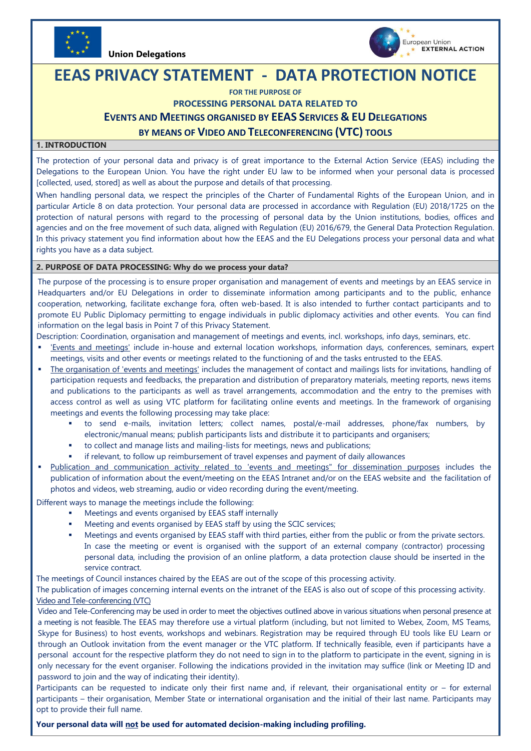

**Union Delegations** 



# **EEAS PRIVACY STATEMENT - DATA PROTECTION NOTICE**

**FOR THE PURPOSE OF**

**PROCESSING PERSONAL DATA RELATED TO**

# **EVENTS AND MEETINGS ORGANISED BY EEAS SERVICES & EU DELEGATIONS**

# **BY MEANS OF VIDEO AND TELECONFERENCING (VTC) TOOLS**

## **1. INTRODUCTION**

The protection of your personal data and privacy is of great importance to the External Action Service (EEAS) including the Delegations to the European Union. You have the right under EU law to be informed when your personal data is processed [collected, used, stored] as well as about the purpose and details of that processing.

When handling personal data, we respect the principles of the Charter of Fundamental Rights of the European Union, and in particular Article 8 on data protection. Your personal data are processed in accordance with [Regulation \(EU\) 2018/1725 on the](https://eur-lex.europa.eu/legal-content/EN/TXT/?uri=CELEX%3A32018R1725)  [protection of natural persons with regard to the processing of personal data by the Union institutions, bodies, offices and](https://eur-lex.europa.eu/legal-content/EN/TXT/?uri=CELEX%3A32018R1725)  [agencies and on the free movement of such data,](https://eur-lex.europa.eu/legal-content/EN/TXT/?uri=CELEX%3A32018R1725) aligned with Regulation (EU) 2016/679, the General Data Protection Regulation. In this privacy statement you find information about how the EEAS and the EU Delegations process your personal data and what rights you have as a data subject.

### **2. PURPOSE OF DATA PROCESSING: Why do we process your data?**

The purpose of the processing is to ensure proper organisation and management of events and meetings by an EEAS service in Headquarters and/or EU Delegations in order to disseminate information among participants and to the public, enhance cooperation, networking, facilitate exchange fora, often web-based. It is also intended to further contact participants and to promote EU Public Diplomacy permitting to engage individuals in public diplomacy activities and other events. You can find information on the legal basis in Point 7 of this Privacy Statement.

Description: Coordination, organisation and management of meetings and events, incl. workshops, info days, seminars, etc.

- 'Events and meetings' include in-house and external location workshops, information days, conferences, seminars, expert meetings, visits and other events or meetings related to the functioning of and the tasks entrusted to the EEAS.
- The organisation of 'events and meetings' includes the management of contact and mailings lists for invitations, handling of participation requests and feedbacks, the preparation and distribution of preparatory materials, meeting reports, news items and publications to the participants as well as travel arrangements, accommodation and the entry to the premises with access control as well as using VTC platform for facilitating online events and meetings. In the framework of organising meetings and events the following processing may take place:
	- to send e-mails, invitation letters; collect names, postal/e-mail addresses, phone/fax numbers, by electronic/manual means; publish participants lists and distribute it to participants and organisers;
	- to collect and manage lists and mailing-lists for meetings, news and publications;
	- if relevant, to follow up reimbursement of travel expenses and payment of daily allowances
- Publication and communication activity related to 'events and meetings" for dissemination purposes includes the publication of information about the event/meeting on the EEAS Intranet and/or on the EEAS website and the facilitation of photos and videos, web streaming, audio or video recording during the event/meeting.

Different ways to manage the meetings include the following:

- Meetings and events organised by EEAS staff internally
- Meeting and events organised by EEAS staff by using the SCIC services;
- Meetings and events organised by EEAS staff with third parties, either from the public or from the private sectors. In case the meeting or event is organised with the support of an external company (contractor) processing personal data, including the provision of an online platform, a data protection clause should be inserted in the service contract.

The meetings of Council instances chaired by the EEAS are out of the scope of this processing activity.

The publication of images concerning internal events on the intranet of the EEAS is also out of scope of this processing activity. Video and Tele-conferencing (VTC)

Video and Tele-Conferencing may be used in order to meet the objectives outlined above in various situations when personal presence at a meeting is not feasible. The EEAS may therefore use a virtual platform (including, but not limited to Webex, Zoom, MS Teams, Skype for Business) to host events, workshops and webinars. Registration may be required through EU tools like EU Learn or through an Outlook invitation from the event manager or the VTC platform. If technically feasible, even if participants have a personal account for the respective platform they do not need to sign in to the platform to participate in the event, signing in is only necessary for the event organiser. Following the indications provided in the invitation may suffice (link or Meeting ID and password to join and the way of indicating their identity).

Participants can be requested to indicate only their first name and, if relevant, their organisational entity or – for external participants – their organisation, Member State or international organisation and the initial of their last name. Participants may opt to provide their full name.

**Your personal data will not be used for automated decision-making including profiling.**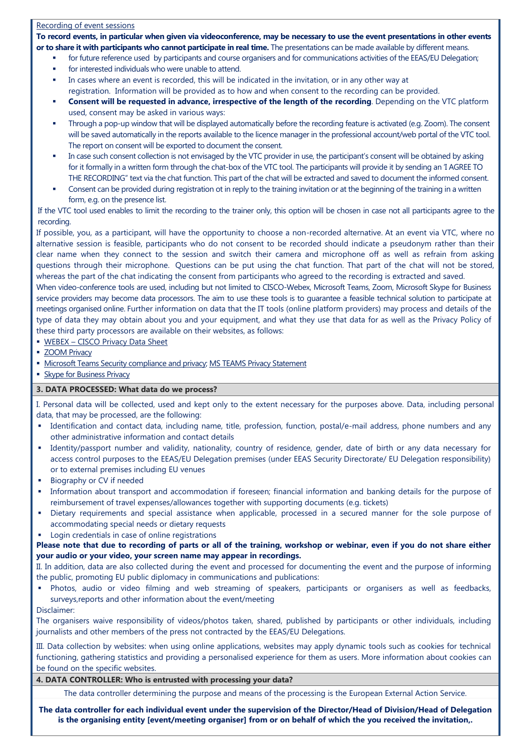#### Recording of event sessions

**To record events, in particular when given via videoconference, may be necessary to use the event presentations in other events or to share it with participants who cannot participate in real time.** The presentations can be made available by different means.

- for future reference used by participants and course organisers and for communications activities of the EEAS/EU Delegation;
- for interested individuals who were unable to attend.
- In cases where an event is recorded, this will be indicated in the invitation, or in any other way at registration. Information will be provided as to how and when consent to the recording can be provided.
- **Consent will be requested in advance, irrespective of the length of the recording**. Depending on the VTC platform used, consent may be asked in various ways:
- Through a pop-up window that will be displayed automatically before the recording feature is activated (e.g. Zoom). The consent will be saved automatically in the reports available to the licence manager in the professional account/web portal of the VTC tool. The report on consent will be exported to document the consent.
- In case such consent collection is not envisaged by the VTC provider in use, the participant's consent will be obtained by asking for it formally in a written form through the chat-box of the VTC tool. The participants will provide it by sending an 'I AGREE TO THE RECORDING" text via the chat function. This part of the chat will be extracted and saved to document the informed consent.
- Consent can be provided during registration ot in reply to the training invitation or at the beginning of the training in a written form, e.g. on the presence list.

If the VTC tool used enables to limit the recording to the trainer only, this option will be chosen in case not all participants agree to the recording.

If possible, you, as a participant, will have the opportunity to choose a non-recorded alternative. At an event via VTC, where no alternative session is feasible, participants who do not consent to be recorded should indicate a pseudonym rather than their clear name when they connect to the session and switch their camera and microphone off as well as refrain from asking questions through their microphone. Questions can be put using the chat function. That part of the chat will not be stored, whereas the part of the chat indicating the consent from participants who agreed to the recording is extracted and saved.

When video-conference tools are used, including but not limited to CISCO-Webex, Microsoft Teams, Zoom, Microsoft Skype for Business service providers may become data processors. The aim to use these tools is to guarantee a feasible technical solution to participate at meetings organised online. Further information on data that the IT tools (online platform providers) may process and details of the type of data they may obtain about you and your equipment, and what they use that data for as well as the Privacy Policy of these third party processors are available on their websites, as follows:

- WEBEX [CISCO Privacy Data Sheet](https://trustportal.cisco.com/c/dam/r/ctp/docs/privacydatasheet/collaboration/cisco-webex-meetings-privacy-data-sheet.pdf)
- **EXECOM Privacy**
- [Microsoft Teams Security compliance and privacy;](https://docs.microsoft.com/en-us/microsoftteams/security-compliance-overview#privacy) [MS TEAMS Privacy Statement](https://support.office.com/en-us/article/teams-free-support-and-privacy-statement-9116c829-c8fa-4822-96a3-1e89b2911ba5)
- **[Skype for Business Privacy](https://support.microsoft.com/en-us/office/privacy-supplement-for-microsoft-skype-for-business-f2100fe5-20f2-4f87-a986-2a823b013b41)**

## **3. DATA PROCESSED: What data do we process?**

I. Personal data will be collected, used and kept only to the extent necessary for the purposes above. Data, including personal data, that may be processed, are the following:

- Identification and contact data, including name, title, profession, function, postal/e-mail address, phone numbers and any other administrative information and contact details
- Identity/passport number and validity, nationality, country of residence, gender, date of birth or any data necessary for access control purposes to the EEAS/EU Delegation premises (under EEAS Security Directorate/ EU Delegation responsibility) or to external premises including EU venues
- Biography or CV if needed
- Information about transport and accommodation if foreseen; financial information and banking details for the purpose of reimbursement of travel expenses/allowances together with supporting documents (e.g. tickets)
- Dietary requirements and special assistance when applicable, processed in a secured manner for the sole purpose of accommodating special needs or dietary requests
- Login credentials in case of online registrations

**Please note that due to recording of parts or all of the training, workshop or webinar, even if you do not share either your audio or your video, your screen name may appear in recordings.**

II. In addition, data are also collected during the event and processed for documenting the event and the purpose of informing the public, promoting EU public diplomacy in communications and publications:

- Photos, audio or video filming and web streaming of speakers, participants or organisers as well as feedbacks, surveys,reports and other information about the event/meeting
- Disclaimer:

The organisers waive responsibility of videos/photos taken, shared, published by participants or other individuals, including journalists and other members of the press not contracted by the EEAS/EU Delegations.

III. Data collection by websites: when using online applications, websites may apply dynamic tools such as cookies for technical functioning, gathering statistics and providing a personalised experience for them as users. More information about cookies can be found on the specific websites.

#### **4. DATA CONTROLLER: Who is entrusted with processing your data?**

The data controller determining the purpose and means of the processing is the European External Action Service.

**The data controller for each individual event under the supervision of the Director/Head of Division/Head of Delegation is the organising entity [event/meeting organiser] from or on behalf of which the you received the invitation,.**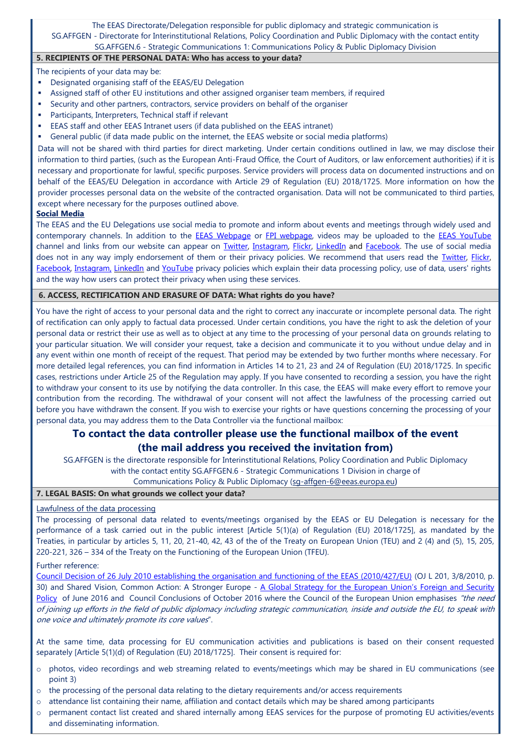## The EEAS Directorate/Delegation responsible for public diplomacy and strategic communication is SG.AFFGEN - Directorate for Interinstitutional Relations, Policy Coordination and Public Diplomacy with the contact entity SG.AFFGEN.6 - Strategic Communications 1: Communications Policy & Public Diplomacy Division

## **5. RECIPIENTS OF THE PERSONAL DATA: Who has access to your data?**

The recipients of your data may be:

- Designated organising staff of the EEAS/EU Delegation
- Assigned staff of other EU institutions and other assigned organiser team members, if required
- Security and other partners, contractors, service providers on behalf of the organiser
- Participants, Interpreters, Technical staff if relevant
- EEAS staff and other EEAS Intranet users (if data published on the EEAS intranet)
- General public (if data made public on the internet, the EEAS website or social media platforms)

Data will not be shared with third parties for direct marketing. Under certain conditions outlined in law, we may disclose their information to third parties, (such as the European Anti-Fraud Office, the Court of Auditors, or law enforcement authorities) if it is necessary and proportionate for lawful, specific purposes. Service providers will process data on documented instructions and on behalf of the EEAS/EU Delegation in accordance with Article 29 of Regulation (EU) 2018/1725. More information on how the provider processes personal data on the website of the contracted organisation. Data will not be communicated to third parties, except where necessary for the purposes outlined above.

#### **Social Media**

The EEAS and the EU Delegations use social media to promote and inform about events and meetings through widely used and contemporary channels. In addition to the **EEAS Webpage** or [FPI webpage,](https://ec.europa.eu/fpi/home_en) videos may be uploaded to the **EEAS YouTube** channel and links from our website can appear on *[Twitter,](https://twitter.com/eu_eeas) [Instagram,](https://www.instagram.com/eudiplomacy/) [Flickr,](https://www.flickr.com/photos/eeas/) [LinkedIn](https://about.linkedin.com/?trk=homepage-basic_footer-about)* and *Facebook*. The use of social media does not in any way imply endorsement of them or their privacy policies. We recommend that users read the *Twitter*, Flickr, [Facebook,](https://www.facebook.com/legal/FB_Work_Privacy) [Instagram,](https://help.instagram.com/519522125107875?helpref=page_content) [LinkedIn](https://www.linkedin.com/legal/privacy-policy) and [YouTube](https://www.youtube.com/static?template=privacy_guidelines) privacy policies which explain their data processing policy, use of data, users' rights and the way how users can protect their privacy when using these services.

#### **6. ACCESS, RECTIFICATION AND ERASURE OF DATA: What rights do you have?**

You have the right of access to your personal data and the right to correct any inaccurate or incomplete personal data. The right of rectification can only apply to factual data processed. Under certain conditions, you have the right to ask the deletion of your personal data or restrict their use as well as to object at any time to the processing of your personal data on grounds relating to your particular situation. We will consider your request, take a decision and communicate it to you without undue delay and in any event within one month of receipt of the request. That period may be extended by two further months where necessary. For more detailed legal references, you can find information in Articles 14 to 21, 23 and 24 of Regulation (EU) 2018/1725. In specific cases, restrictions under Article 25 of the Regulation may apply. If you have consented to recording a session, you have the right to withdraw your consent to its use by notifying the data controller. In this case, the EEAS will make every effort to remove your contribution from the recording. The withdrawal of your consent will not affect the lawfulness of the processing carried out before you have withdrawn the consent. If you wish to exercise your rights or have questions concerning the processing of your personal data, you may address them to the Data Controller via the functional mailbox:

# **To contact the data controller please use the functional mailbox of the event (the mail address you received the invitation from)**

SG.AFFGEN is the directorate responsible for Interinstitutional Relations, Policy Coordination and Public Diplomacy with the contact entity SG.AFFGEN.6 - Strategic Communications 1 Division in charge of

Communications Policy & Public Diplomacy [\(sg-affgen-6@eeas.europa.eu](mailto:sg-affgen-6@eeas.europa.eu))

## **7. LEGAL BASIS: On what grounds we collect your data?**

#### Lawfulness of the data processing

The processing of personal data related to events/meetings organised by the EEAS or EU Delegation is necessary for the performance of a task carried out in the public interest [Article 5(1)(a) of Regulation (EU) 2018/1725], as mandated by the Treaties, in particular by articles 5, 11, 20, 21-40, 42, 43 of the of the Treaty on European Union (TEU) and 2 (4) and (5), 15, 205, 220-221, 326 – 334 of the Treaty on the Functioning of the European Union (TFEU).

#### Further reference:

[Council Decision of 26 July 2010 establishing the organisation and functioning of the EEAS \(2010/427/EU\)](http://www.eeas.europa.eu/background/docs/eeas_decision_en.pdf) (OJ L 201, 3/8/2010, p. 30) and Shared Vision, Common Action: A Stronger Europe - A Global Strategy for the European Union's Foreign and Security [Policy](https://eeas.europa.eu/topics/eu-global-strategy_en) of June 2016 and Council Conclusions of October 2016 where the Council of the European Union emphasises "the need of joining up efforts in the field of public diplomacy including strategic communication, inside and outside the EU, to speak with one voice and ultimately promote its core values".

At the same time, data processing for EU communication activities and publications is based on their consent requested separately [Article 5(1)(d) of Regulation (EU) 2018/1725]. Their consent is required for:

- o photos, video recordings and web streaming related to events/meetings which may be shared in EU communications (see point 3)
- $\circ$  the processing of the personal data relating to the dietary requirements and/or access requirements
- $\circ$  attendance list containing their name, affiliation and contact details which may be shared among participants
- o permanent contact list created and shared internally among EEAS services for the purpose of promoting EU activities/events and disseminating information.